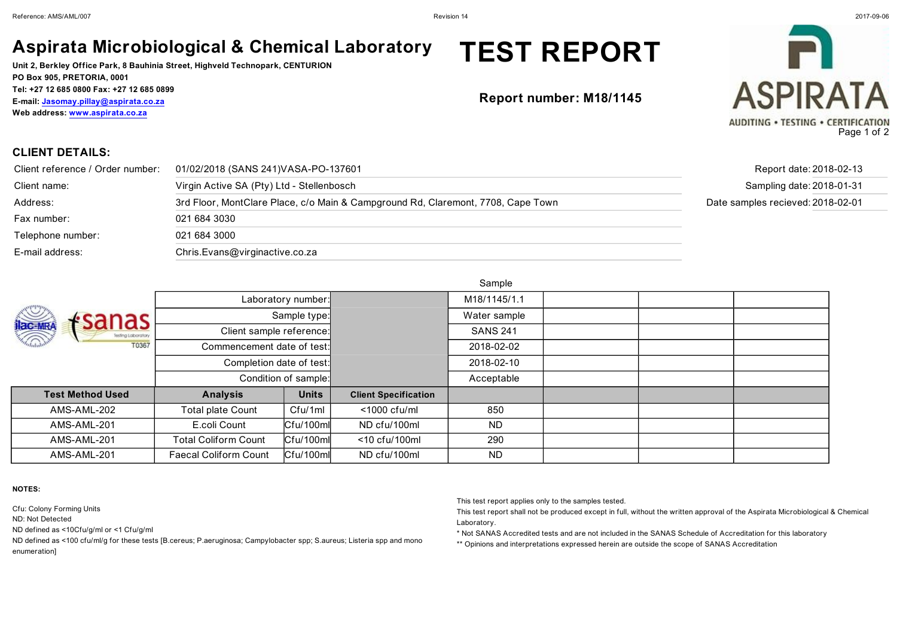### **Aspirata Microbiological & Chemical Laboratory**

**Unit 2, Berkley Office Park, 8 Bauhinia Street, Highveld Technopark, CENTURION PO Box 905, PRETORIA, 0001 Tel: +27 12 685 0800 Fax: +27 12 685 0899 E-mail: Jasomay.pillay@aspirata.co.za Web address: www.aspirata.co.za**

## **TEST REPORT**

**Report number: M18/1145**



**CLIENT DETAILS:**

| Client reference / Order number: | 01/02/2018 (SANS 241) VASA-PO-137601                                             | Report date: 2018-02-13           |
|----------------------------------|----------------------------------------------------------------------------------|-----------------------------------|
| Client name:                     | Virgin Active SA (Pty) Ltd - Stellenbosch                                        | Sampling date: 2018-01-31         |
| Address:                         | 3rd Floor, MontClare Place, c/o Main & Campground Rd, Claremont, 7708, Cape Town | Date samples recieved: 2018-02-01 |
| Fax number:                      | 021 684 3030                                                                     |                                   |
| Telephone number:                | 021 684 3000                                                                     |                                   |
| E-mail address:                  | Chris.Evans@virginactive.co.za                                                   |                                   |

**Sample** 

|                                                            | -------                      |                      |                             |                 |  |  |  |
|------------------------------------------------------------|------------------------------|----------------------|-----------------------------|-----------------|--|--|--|
| <b>IRC MRA</b><br>$f$ sanas<br>Testing Laboratory<br>T0367 |                              | Laboratory number:   |                             | M18/1145/1.1    |  |  |  |
|                                                            |                              | Sample type:         |                             | Water sample    |  |  |  |
|                                                            | Client sample reference:     |                      |                             | <b>SANS 241</b> |  |  |  |
|                                                            | Commencement date of test:   |                      |                             | 2018-02-02      |  |  |  |
|                                                            | Completion date of test:     |                      |                             | 2018-02-10      |  |  |  |
|                                                            |                              | Condition of sample: |                             | Acceptable      |  |  |  |
| <b>Test Method Used</b>                                    | <b>Analysis</b>              | <b>Units</b>         | <b>Client Specification</b> |                 |  |  |  |
| AMS-AML-202                                                | <b>Total plate Count</b>     | Cfu/1ml              | $<$ 1000 cfu/ml             | 850             |  |  |  |
| AMS-AML-201                                                | E.coli Count                 | $ C$ fu/100ml        | ND cfu/100ml                | ND.             |  |  |  |
| AMS-AML-201                                                | <b>Total Coliform Count</b>  | $ C$ fu/100ml        | <10 cfu/100ml               | 290             |  |  |  |
| AMS-AML-201                                                | <b>Faecal Coliform Count</b> | $ C$ fu/100ml        | ND cfu/100ml                | <b>ND</b>       |  |  |  |

**NOTES:**

Cfu: Colony Forming Units

ND: Not Detected

ND defined as <10Cfu/g/ml or <1 Cfu/g/ml

ND defined as <100 cfu/ml/g for these tests [B.cereus; P.aeruginosa; Campylobacter spp; S.aureus; Listeria spp and mono enumeration]

This test report applies only to the samples tested.

This test report shall not be produced except in full, without the written approval of the Aspirata Microbiological & Chemical Laboratory.

\* Not SANAS Accredited tests and are not included in the SANAS Schedule of Accreditation for this laboratory

\*\* Opinions and interpretations expressed herein are outside the scope of SANAS Accreditation